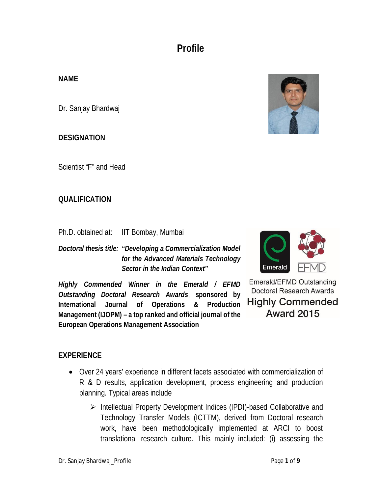# **Profile**

## **NAME**

Dr. Sanjay Bhardwaj

### **DESIGNATION**

Scientist "F" and Head

#### **QUALIFICATION**

Ph.D. obtained at: IIT Bombay, Mumbai

*Doctoral thesis title: "Developing a Commercialization Model for the Advanced Materials Technology Sector in the Indian Context"*

*Highly Commended Winner in the Emerald / EFMD Outstanding Doctoral Research Awards*, **sponsored by International Journal of Operations & Production Management (IJOPM) – a top ranked and official journal of the European Operations Management Association**



Emerald/EFMD Outstanding **Doctoral Research Awards Highly Commended Award 2015** 

### **EXPERIENCE**

- Over 24 years' experience in different facets associated with commercialization of R & D results, application development, process engineering and production planning. Typical areas include
	- Intellectual Property Development Indices (IPDI)-based Collaborative and Technology Transfer Models (ICTTM), derived from Doctoral research work, have been methodologically implemented at ARCI to boost translational research culture. This mainly included: (i) assessing the

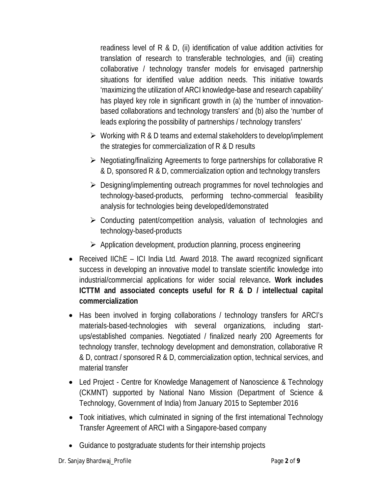readiness level of R & D, (ii) identification of value addition activities for translation of research to transferable technologies, and (iii) creating collaborative / technology transfer models for envisaged partnership situations for identified value addition needs. This initiative towards 'maximizing the utilization of ARCI knowledge-base and research capability' has played key role in significant growth in (a) the 'number of innovationbased collaborations and technology transfers' and (b) also the 'number of leads exploring the possibility of partnerships / technology transfers'

- $\triangleright$  Working with R & D teams and external stakeholders to develop/implement the strategies for commercialization of R & D results
- $\triangleright$  Negotiating/finalizing Agreements to forge partnerships for collaborative R & D, sponsored R & D, commercialization option and technology transfers
- $\triangleright$  Designing/implementing outreach programmes for novel technologies and technology-based-products, performing techno-commercial feasibility analysis for technologies being developed/demonstrated
- $\triangleright$  Conducting patent/competition analysis, valuation of technologies and technology-based-products
- $\triangleright$  Application development, production planning, process engineering
- Received IIChE ICI India Ltd. Award 2018. The award recognized significant success in developing an innovative model to translate scientific knowledge into industrial/commercial applications for wider social relevance**. Work includes ICTTM and associated concepts useful for R & D / intellectual capital commercialization**
- Has been involved in forging collaborations / technology transfers for ARCI's materials-based-technologies with several organizations, including startups/established companies. Negotiated / finalized nearly 200 Agreements for technology transfer, technology development and demonstration, collaborative R & D, contract / sponsored R & D, commercialization option, technical services, and material transfer
- Led Project Centre for Knowledge Management of Nanoscience & Technology (CKMNT) supported by National Nano Mission (Department of Science & Technology, Government of India) from January 2015 to September 2016
- Took initiatives, which culminated in signing of the first international Technology Transfer Agreement of ARCI with a Singapore-based company
- Guidance to postgraduate students for their internship projects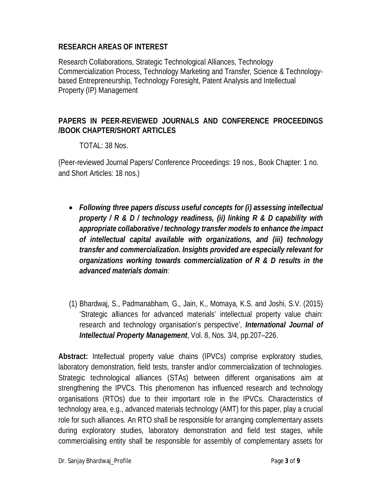## **RESEARCH AREAS OF INTEREST**

Research Collaborations, Strategic Technological Alliances, Technology Commercialization Process, Technology Marketing and Transfer, Science & Technologybased Entrepreneurship, Technology Foresight, Patent Analysis and Intellectual Property (IP) Management

## **PAPERS IN PEER-REVIEWED JOURNALS AND CONFERENCE PROCEEDINGS /BOOK CHAPTER/SHORT ARTICLES**

### TOTAL: 38 Nos.

(Peer-reviewed Journal Papers/ Conference Proceedings: 19 nos., Book Chapter: 1 no. and Short Articles: 18 nos.)

- *Following three papers discuss useful concepts for (i) assessing intellectual property / R & D / technology readiness, (ii) linking R & D capability with appropriate collaborative / technology transfer models to enhance the impact of intellectual capital available with organizations, and (iii) technology transfer and commercialization. Insights provided are especially relevant for organizations working towards commercialization of R & D results in the advanced materials domain:*
- (1) Bhardwaj, S., Padmanabham, G., Jain, K., Momaya, K.S. and Joshi, S.V. (2015) 'Strategic alliances for advanced materials' intellectual property value chain: research and technology organisation's perspective', *International Journal of Intellectual Property Management*, Vol. 8, Nos. 3/4, pp.207–226.

**Abstract:** Intellectual property value chains (IPVCs) comprise exploratory studies, laboratory demonstration, field tests, transfer and/or commercialization of technologies. Strategic technological alliances (STAs) between different organisations aim at strengthening the IPVCs. This phenomenon has influenced research and technology organisations (RTOs) due to their important role in the IPVCs. Characteristics of technology area, e.g., advanced materials technology (AMT) for this paper, play a crucial role for such alliances. An RTO shall be responsible for arranging complementary assets during exploratory studies, laboratory demonstration and field test stages, while commercialising entity shall be responsible for assembly of complementary assets for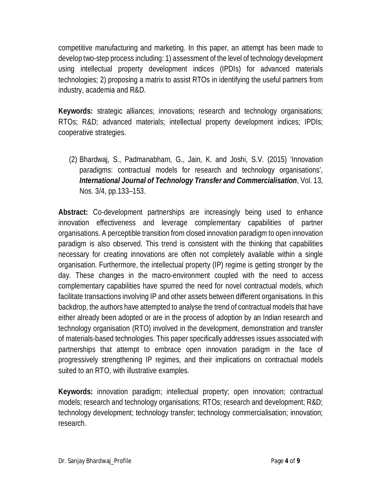competitive manufacturing and marketing. In this paper, an attempt has been made to develop two-step process including: 1) assessment of the level of technology development using intellectual property development indices (IPDIs) for advanced materials technologies; 2) proposing a matrix to assist RTOs in identifying the useful partners from industry, academia and R&D.

**Keywords:** strategic alliances; innovations; research and technology organisations; RTOs; R&D; advanced materials; intellectual property development indices; IPDIs; cooperative strategies.

(2) Bhardwaj, S., Padmanabham, G., Jain, K. and Joshi, S.V. (2015) 'Innovation paradigms: contractual models for research and technology organisations', *International Journal of Technology Transfer and Commercialisation*, Vol. 13, Nos. 3/4, pp.133–153.

**Abstract:** Co-development partnerships are increasingly being used to enhance innovation effectiveness and leverage complementary capabilities of partner organisations. A perceptible transition from closed innovation paradigm to open innovation paradigm is also observed. This trend is consistent with the thinking that capabilities necessary for creating innovations are often not completely available within a single organisation. Furthermore, the intellectual property (IP) regime is getting stronger by the day. These changes in the macro-environment coupled with the need to access complementary capabilities have spurred the need for novel contractual models, which facilitate transactions involving IP and other assets between different organisations. In this backdrop, the authors have attempted to analyse the trend of contractual models that have either already been adopted or are in the process of adoption by an Indian research and technology organisation (RTO) involved in the development, demonstration and transfer of materials-based technologies. This paper specifically addresses issues associated with partnerships that attempt to embrace open innovation paradigm in the face of progressively strengthening IP regimes, and their implications on contractual models suited to an RTO, with illustrative examples.

**Keywords:** innovation paradigm; intellectual property; open innovation; contractual models; research and technology organisations; RTOs; research and development; R&D; technology development; technology transfer; technology commercialisation; innovation; research.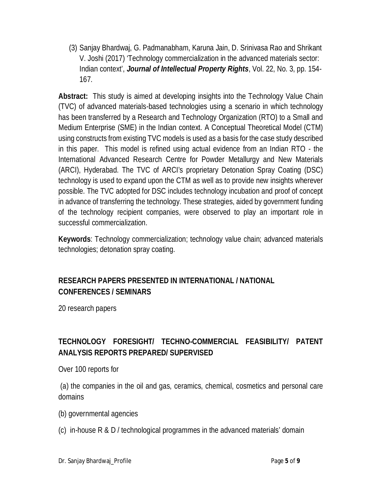(3) Sanjay Bhardwaj, G. Padmanabham, Karuna Jain, D. Srinivasa Rao and Shrikant V. Joshi (2017) 'Technology commercialization in the advanced materials sector: Indian context', *Journal of Intellectual Property Rights*, Vol. 22, No. 3, pp. 154- 167.

**Abstract:** This study is aimed at developing insights into the Technology Value Chain (TVC) of advanced materials-based technologies using a scenario in which technology has been transferred by a Research and Technology Organization (RTO) to a Small and Medium Enterprise (SME) in the Indian context. A Conceptual Theoretical Model (CTM) using constructs from existing TVC models is used as a basis for the case study described in this paper. This model is refined using actual evidence from an Indian RTO - the International Advanced Research Centre for Powder Metallurgy and New Materials (ARCI), Hyderabad. The TVC of ARCI's proprietary Detonation Spray Coating (DSC) technology is used to expand upon the CTM as well as to provide new insights wherever possible. The TVC adopted for DSC includes technology incubation and proof of concept in advance of transferring the technology. These strategies, aided by government funding of the technology recipient companies, were observed to play an important role in successful commercialization.

**Keywords**: Technology commercialization; technology value chain; advanced materials technologies; detonation spray coating.

## **RESEARCH PAPERS PRESENTED IN INTERNATIONAL / NATIONAL CONFERENCES / SEMINARS**

20 research papers

## **TECHNOLOGY FORESIGHT/ TECHNO-COMMERCIAL FEASIBILITY/ PATENT ANALYSIS REPORTS PREPARED/ SUPERVISED**

Over 100 reports for

(a) the companies in the oil and gas, ceramics, chemical, cosmetics and personal care domains

(b) governmental agencies

(c) in-house R & D / technological programmes in the advanced materials' domain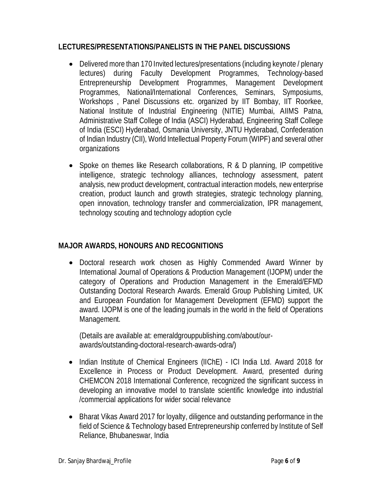### **LECTURES/PRESENTATIONS/PANELISTS IN THE PANEL DISCUSSIONS**

- Delivered more than 170 Invited lectures/presentations (including keynote / plenary lectures) during Faculty Development Programmes, Technology-based Entrepreneurship Development Programmes, Management Development Programmes, National/International Conferences, Seminars, Symposiums, Workshops , Panel Discussions etc. organized by IIT Bombay, IIT Roorkee, National Institute of Industrial Engineering (NITIE) Mumbai, AIIMS Patna, Administrative Staff College of India (ASCI) Hyderabad, Engineering Staff College of India (ESCI) Hyderabad, Osmania University, JNTU Hyderabad, Confederation of Indian Industry (CII), World Intellectual Property Forum (WIPF) and several other organizations
- Spoke on themes like Research collaborations, R & D planning, IP competitive intelligence, strategic technology alliances, technology assessment, patent analysis, new product development, contractual interaction models, new enterprise creation, product launch and growth strategies, strategic technology planning, open innovation, technology transfer and commercialization, IPR management, technology scouting and technology adoption cycle

## **MAJOR AWARDS, HONOURS AND RECOGNITIONS**

 Doctoral research work chosen as Highly Commended Award Winner by International Journal of Operations & Production Management (IJOPM) under the category of Operations and Production Management in the Emerald/EFMD Outstanding Doctoral Research Awards. Emerald Group Publishing Limited, UK and European Foundation for Management Development (EFMD) support the award. IJOPM is one of the leading journals in the world in the field of Operations Management.

(Details are available at: emeraldgrouppublishing.com/about/ourawards/outstanding-doctoral-research-awards-odra/)

- Indian Institute of Chemical Engineers (IIChE) ICI India Ltd. Award 2018 for Excellence in Process or Product Development. Award, presented during CHEMCON 2018 International Conference, recognized the significant success in developing an innovative model to translate scientific knowledge into industrial /commercial applications for wider social relevance
- Bharat Vikas Award 2017 for loyalty, diligence and outstanding performance in the field of Science & Technology based Entrepreneurship conferred by Institute of Self Reliance, Bhubaneswar, India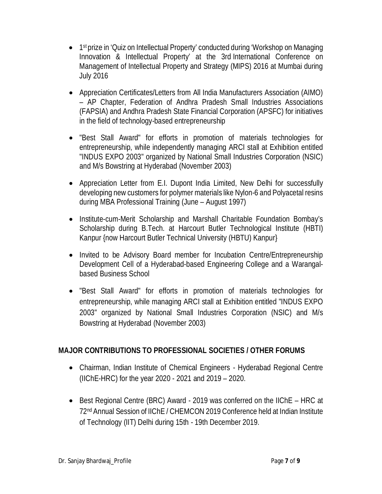- 1<sup>st</sup> prize in 'Quiz on Intellectual Property' conducted during 'Workshop on Managing Innovation & Intellectual Property' at the 3rd International Conference on Management of Intellectual Property and Strategy (MIPS) 2016 at Mumbai during July 2016
- Appreciation Certificates/Letters from All India Manufacturers Association (AIMO) – AP Chapter, Federation of Andhra Pradesh Small Industries Associations (FAPSIA) and Andhra Pradesh State Financial Corporation (APSFC) for initiatives in the field of technology-based entrepreneurship
- "Best Stall Award" for efforts in promotion of materials technologies for entrepreneurship, while independently managing ARCI stall at Exhibition entitled "INDUS EXPO 2003" organized by National Small Industries Corporation (NSIC) and M/s Bowstring at Hyderabad (November 2003)
- Appreciation Letter from E.I. Dupont India Limited, New Delhi for successfully developing new customers for polymer materials like Nylon-6 and Polyacetal resins during MBA Professional Training (June – August 1997)
- Institute-cum-Merit Scholarship and Marshall Charitable Foundation Bombay's Scholarship during B.Tech. at Harcourt Butler Technological Institute (HBTI) Kanpur {now Harcourt Butler Technical University (HBTU) Kanpur}
- Invited to be Advisory Board member for Incubation Centre/Entrepreneurship Development Cell of a Hyderabad-based Engineering College and a Warangalbased Business School
- "Best Stall Award" for efforts in promotion of materials technologies for entrepreneurship, while managing ARCI stall at Exhibition entitled "INDUS EXPO 2003" organized by National Small Industries Corporation (NSIC) and M/s Bowstring at Hyderabad (November 2003)

## **MAJOR CONTRIBUTIONS TO PROFESSIONAL SOCIETIES / OTHER FORUMS**

- Chairman, Indian Institute of Chemical Engineers Hyderabad Regional Centre (IIChE-HRC) for the year 2020 - 2021 and 2019 – 2020.
- Best Regional Centre (BRC) Award 2019 was conferred on the IIChE HRC at 72nd Annual Session of IIChE / CHEMCON 2019 Conference held at Indian Institute of Technology (IIT) Delhi during 15th - 19th December 2019.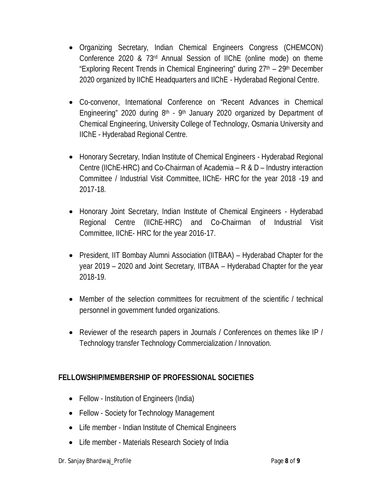- Organizing Secretary, Indian Chemical Engineers Congress (CHEMCON) Conference 2020 & 73rd Annual Session of IIChE (online mode) on theme "Exploring Recent Trends in Chemical Engineering" during 27<sup>th</sup> - 29<sup>th</sup> December 2020 organized by IIChE Headquarters and IIChE - Hyderabad Regional Centre.
- Co-convenor, International Conference on "Recent Advances in Chemical Engineering" 2020 during  $8<sup>th</sup>$  - 9<sup>th</sup> January 2020 organized by Department of Chemical Engineering, University College of Technology, Osmania University and IIChE - Hyderabad Regional Centre.
- Honorary Secretary, Indian Institute of Chemical Engineers Hyderabad Regional Centre (IIChE-HRC) and Co-Chairman of Academia – R & D – Industry interaction Committee / Industrial Visit Committee, IIChE- HRC for the year 2018 -19 and 2017-18.
- Honorary Joint Secretary, Indian Institute of Chemical Engineers Hyderabad Regional Centre (IIChE-HRC) and Co-Chairman of Industrial Visit Committee, IIChE- HRC for the year 2016-17.
- President, IIT Bombay Alumni Association (IITBAA) Hyderabad Chapter for the year 2019 – 2020 and Joint Secretary, IITBAA – Hyderabad Chapter for the year 2018-19.
- Member of the selection committees for recruitment of the scientific / technical personnel in government funded organizations.
- Reviewer of the research papers in Journals / Conferences on themes like IP / Technology transfer Technology Commercialization / Innovation.

## **FELLOWSHIP/MEMBERSHIP OF PROFESSIONAL SOCIETIES**

- Fellow Institution of Engineers (India)
- Fellow Society for Technology Management
- Life member Indian Institute of Chemical Engineers
- Life member Materials Research Society of India